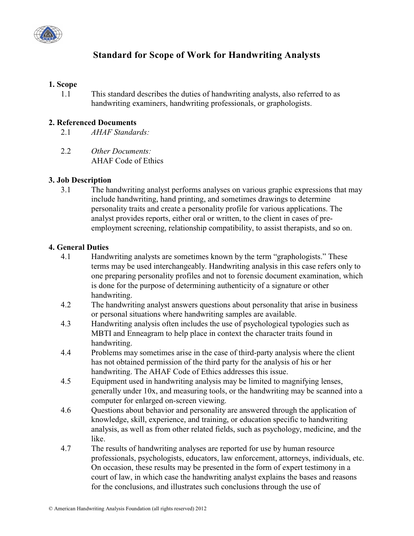

# **Standard for Scope of Work for Handwriting Analysts**

#### **1. Scope**

1.1 This standard describes the duties of handwriting analysts, also referred to as handwriting examiners, handwriting professionals, or graphologists.

### **2. Referenced Documents**

- 2.1 *AHAF Standards:*
- 2.2 *Other Documents:* AHAF Code of Ethics

## **3. Job Description**

3.1 The handwriting analyst performs analyses on various graphic expressions that may include handwriting, hand printing, and sometimes drawings to determine personality traits and create a personality profile for various applications. The analyst provides reports, either oral or written, to the client in cases of preemployment screening, relationship compatibility, to assist therapists, and so on.

#### **4. General Duties**

- 4.1 Handwriting analysts are sometimes known by the term "graphologists." These terms may be used interchangeably. Handwriting analysis in this case refers only to one preparing personality profiles and not to forensic document examination, which is done for the purpose of determining authenticity of a signature or other handwriting.
- 4.2 The handwriting analyst answers questions about personality that arise in business or personal situations where handwriting samples are available.
- 4.3 Handwriting analysis often includes the use of psychological typologies such as MBTI and Enneagram to help place in context the character traits found in handwriting.
- 4.4 Problems may sometimes arise in the case of third-party analysis where the client has not obtained permission of the third party for the analysis of his or her handwriting. The AHAF Code of Ethics addresses this issue.
- 4.5 Equipment used in handwriting analysis may be limited to magnifying lenses, generally under 10x, and measuring tools, or the handwriting may be scanned into a computer for enlarged on-screen viewing.
- 4.6 Questions about behavior and personality are answered through the application of knowledge, skill, experience, and training, or education specific to handwriting analysis, as well as from other related fields, such as psychology, medicine, and the like.
- 4.7 The results of handwriting analyses are reported for use by human resource professionals, psychologists, educators, law enforcement, attorneys, individuals, etc. On occasion, these results may be presented in the form of expert testimony in a court of law, in which case the handwriting analyst explains the bases and reasons for the conclusions, and illustrates such conclusions through the use of